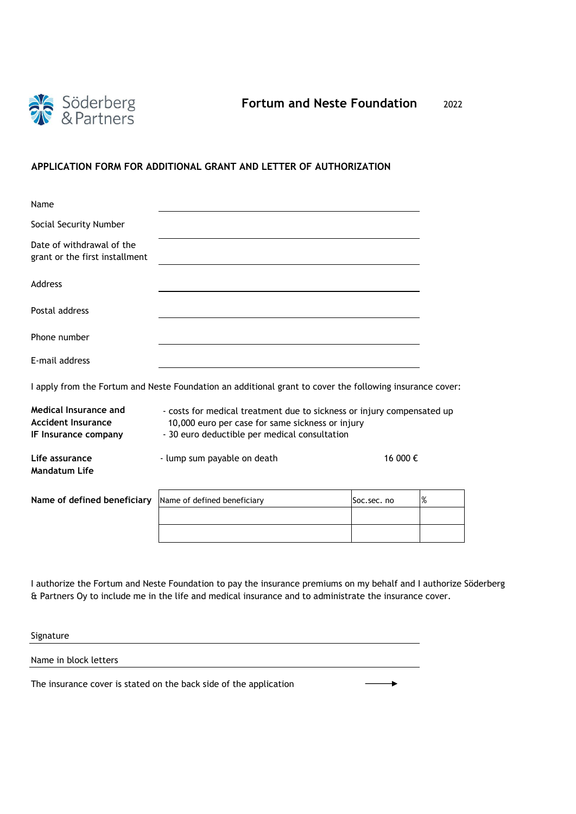

## **APPLICATION FORM FOR ADDITIONAL GRANT AND LETTER OF AUTHORIZATION**

| Name                                                                       |                                                                                                                                                                             |            |      |  |
|----------------------------------------------------------------------------|-----------------------------------------------------------------------------------------------------------------------------------------------------------------------------|------------|------|--|
| Social Security Number                                                     |                                                                                                                                                                             |            |      |  |
| Date of withdrawal of the<br>grant or the first installment                |                                                                                                                                                                             |            |      |  |
| Address                                                                    |                                                                                                                                                                             |            |      |  |
| Postal address                                                             |                                                                                                                                                                             |            |      |  |
| Phone number                                                               |                                                                                                                                                                             |            |      |  |
| E-mail address                                                             |                                                                                                                                                                             |            |      |  |
|                                                                            | I apply from the Fortum and Neste Foundation an additional grant to cover the following insurance cover:                                                                    |            |      |  |
| Medical Insurance and<br><b>Accident Insurance</b><br>IF Insurance company | - costs for medical treatment due to sickness or injury compensated up<br>10,000 euro per case for same sickness or injury<br>- 30 euro deductible per medical consultation |            |      |  |
| Life assurance<br><b>Mandatum Life</b>                                     | - lump sum payable on death                                                                                                                                                 | 16 000 €   |      |  |
| Name of defined beneficiary                                                | Name of defined beneficiary                                                                                                                                                 | Soc.sec.no | $\%$ |  |
|                                                                            |                                                                                                                                                                             |            |      |  |
|                                                                            |                                                                                                                                                                             |            |      |  |

I authorize the Fortum and Neste Foundation to pay the insurance premiums on my behalf and I authorize Söderberg & Partners Oy to include me in the life and medical insurance and to administrate the insurance cover.

Signature Name in block letters The insurance cover is stated on the back side of the application  $\overline{\phantom{0}}$